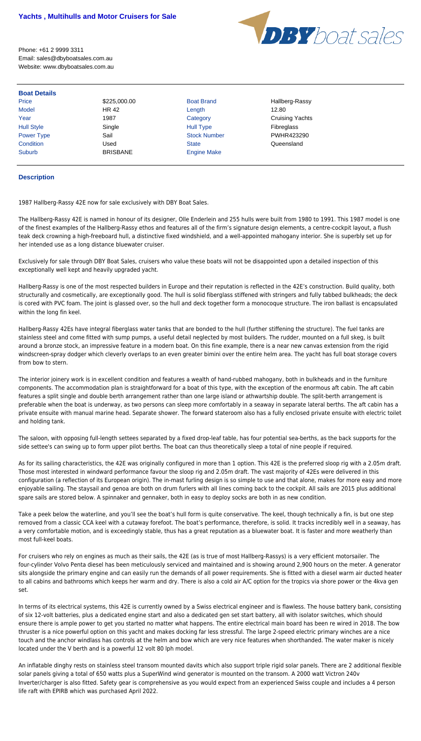

Phone: +61 2 9999 3311 Email: sales@dbyboatsales.com.au Website: www.dbyboatsales.com.au

| <b>Boat Details</b> |                 |                     |                        |
|---------------------|-----------------|---------------------|------------------------|
| Price               | \$225,000.00    | <b>Boat Brand</b>   | Hallberg-Rassy         |
| <b>Model</b>        | HR 42           | Length              | 12.80                  |
| Year                | 1987            | Category            | <b>Cruising Yachts</b> |
| <b>Hull Style</b>   | Single          | <b>Hull Type</b>    | Fibreglass             |
| Power Type          | Sail            | <b>Stock Number</b> | PWHR423290             |
| Condition           | Used            | <b>State</b>        | Queensland             |
| <b>Suburb</b>       | <b>BRISBANE</b> | <b>Engine Make</b>  |                        |

## **Description**

1987 Hallberg-Rassy 42E now for sale exclusively with DBY Boat Sales.

The Hallberg-Rassy 42E is named in honour of its designer, Olle Enderlein and 255 hulls were built from 1980 to 1991. This 1987 model is one of the finest examples of the Hallberg-Rassy ethos and features all of the firm's signature design elements, a centre-cockpit layout, a flush teak deck crowning a high-freeboard hull, a distinctive fixed windshield, and a well-appointed mahogany interior. She is superbly set up for her intended use as a long distance bluewater cruiser.

Exclusively for sale through DBY Boat Sales, cruisers who value these boats will not be disappointed upon a detailed inspection of this exceptionally well kept and heavily upgraded yacht.

Hallberg-Rassy is one of the most respected builders in Europe and their reputation is reflected in the 42E's construction. Build quality, both structurally and cosmetically, are exceptionally good. The hull is solid fiberglass stiffened with stringers and fully tabbed bulkheads; the deck is cored with PVC foam. The joint is glassed over, so the hull and deck together form a monocoque structure. The iron ballast is encapsulated within the long fin keel.

Hallberg-Rassy 42Es have integral fiberglass water tanks that are bonded to the hull (further stiffening the structure). The fuel tanks are stainless steel and come fitted with sump pumps, a useful detail neglected by most builders. The rudder, mounted on a full skeg, is built around a bronze stock, an impressive feature in a modern boat. On this fine example, there is a near new canvas extension from the rigid windscreen-spray dodger which cleverly overlaps to an even greater bimini over the entire helm area. The yacht has full boat storage covers from bow to stern.

The interior joinery work is in excellent condition and features a wealth of hand-rubbed mahogany, both in bulkheads and in the furniture components. The accommodation plan is straightforward for a boat of this type, with the exception of the enormous aft cabin. The aft cabin features a split single and double berth arrangement rather than one large island or athwartship double. The split-berth arrangement is preferable when the boat is underway, as two persons can sleep more comfortably in a seaway in separate lateral berths. The aft cabin has a private ensuite with manual marine head. Separate shower. The forward stateroom also has a fully enclosed private ensuite with electric toilet and holding tank.

The saloon, with opposing full-length settees separated by a fixed drop-leaf table, has four potential sea-berths, as the back supports for the side settee's can swing up to form upper pilot berths. The boat can thus theoretically sleep a total of nine people if required.

As for its sailing characteristics, the 42E was originally configured in more than 1 option. This 42E is the preferred sloop rig with a 2.05m draft. Those most interested in windward performance favour the sloop rig and 2.05m draft. The vast majority of 42Es were delivered in this configuration (a reflection of its European origin). The in-mast furling design is so simple to use and that alone, makes for more easy and more enjoyable sailing. The staysail and genoa are both on drum furlers with all lines coming back to the cockpit. All sails are 2015 plus additional spare sails are stored below. A spinnaker and gennaker, both in easy to deploy socks are both in as new condition.

Take a peek below the waterline, and you'll see the boat's hull form is quite conservative. The keel, though technically a fin, is but one step removed from a classic CCA keel with a cutaway forefoot. The boat's performance, therefore, is solid. It tracks incredibly well in a seaway, has a very comfortable motion, and is exceedingly stable, thus has a great reputation as a bluewater boat. It is faster and more weatherly than

most full-keel boats.

For cruisers who rely on engines as much as their sails, the 42E (as is true of most Hallberg-Rassys) is a very efficient motorsailer. The four-cylinder Volvo Penta diesel has been meticulously serviced and maintained and is showing around 2,900 hours on the meter. A generator sits alongside the primary engine and can easily run the demands of all power requirements. She is fitted with a diesel warm air ducted heater to all cabins and bathrooms which keeps her warm and dry. There is also a cold air A/C option for the tropics via shore power or the 4kva gen set.

In terms of its electrical systems, this 42E is currently owned by a Swiss electrical engineer and is flawless. The house battery bank, consisting of six 12-volt batteries, plus a dedicated engine start and also a dedicated gen set start battery, all with isolator switches, which should ensure there is ample power to get you started no matter what happens. The entire electrical main board has been re wired in 2018. The bow thruster is a nice powerful option on this yacht and makes docking far less stressful. The large 2-speed electric primary winches are a nice touch and the anchor windlass has controls at the helm and bow which are very nice features when shorthanded. The water maker is nicely located under the V berth and is a powerful 12 volt 80 lph model.

An inflatable dinghy rests on stainless steel transom mounted davits which also support triple rigid solar panels. There are 2 additional flexible solar panels giving a total of 650 watts plus a SuperWind wind generator is mounted on the transom. A 2000 watt Victron 240v Inverter/charger is also fitted. Safety gear is comprehensive as you would expect from an experienced Swiss couple and includes a 4 person life raft with EPIRB which was purchased April 2022.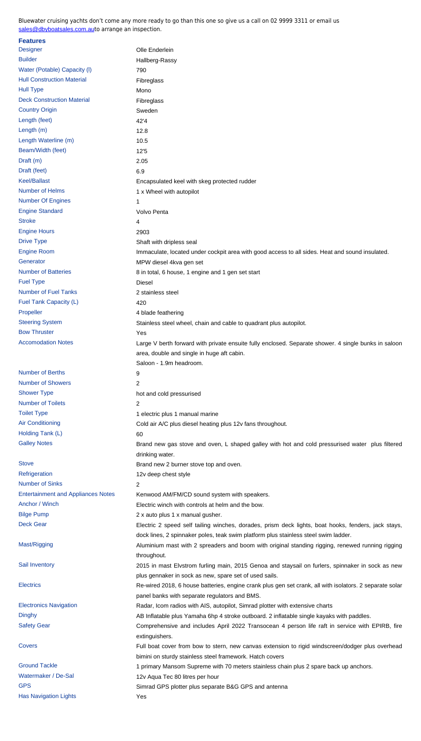Number of Batteries **8** in total, 6 house, 1 engine and 1 gen set start Fuel Type Diesel Number of Fuel Tanks 2 stainless steel [Fuel Tank Capacity \(L\)](mailto:sales@dbyboatsales.com.au) 420 Propeller 2002 12 and 2012 12:30 A blade feathering Steering System Stainless steel wheel, chain and cable to quadrant plus autopilot. Bow Thruster The Theorem 2012 1999 and 2012 1999 and 2012 1999 and 2013 1999 and 2013 1999 and 2013 Accomodation Notes **Large V** berth forward with private ensuite fully enclosed. Separate shower. 4 single b area, double and single in huge aft cabin. Saloon - 1.9m headroom. Number of Berths 9 Number of Showers 2 Shower Type hot and cold pressurised Number of Toilets 2 Toilet Type 1 electric plus 1 manual marine Air Conditioning **Cold air A/C plus diesel heating plus 12v fans throughout.** Holding Tank (L) 60 Galley Notes **Brand new gas stove and oven, L shaped galley with hot and cold pressurised water** plus Filtered water plus filter plus filters filter plus filters filter plus filters filter plus filters filter plus filters drinking water. Stove Stove Brand new 2 burner stove top and oven. Refrigeration 2001 12v deep chest style Number of Sinks 2 Entertainment and Appliances Notes Kenwood AM/FM/CD sound system with speakers. Anchor / Winch Electric winch with controls at helm and the bow. Bilge Pump 2 x auto plus 1 x manual gusher. Deck Gear **Electric 2** speed self tailing winches, dorades, prism deck lights, boat hooks, fenders, included by dock lines, 2 spinnaker poles, teak swim platform plus stainless steel swim ladder. Mast/Rigging **Aluminium mast with 2 spreaders and boom with original standing rigging, renewed** throughout. Sail Inventory **2015 in mast Elvstrom furling main, 2015 Genoa and staysail on furlers, spinnaker i**n Sail Inventory plus gennaker in sock as new, spare set of used sails. Electrics Re-wired 2018, 6 house batteries, engine crank plus gen set crank, all with isolators. 2 panel banks with separate regulators and BMS. Electronics Navigation **Radar, Icom radios with AIS, autopilot, Simrad plotter with extensive charts** Dinghy **AB Inflatable plus Yamaha 6hp 4 stroke outboard. 2 inflatable single kayaks with paddl** Dinghy Safety Gear **Comprehensive and includes April 2022 Transocean 4 person life raft in service w** extinguishers. Covers **EULL** boat cover from bow to stern, new canvas extension to rigid windscreen/dodger bimini on sturdy stainless steel framework. Hatch covers Ground Tackle 1 primary Mansom Supreme with 70 meters stainless chain plus 2 spare back up anchors. Watermaker / De-Sal 12v Aqua Tec 80 litres per hour GPS GPS Simrad GPS plotter plus separate B&G GPS and antenna Has Navigation Lights **Yes**